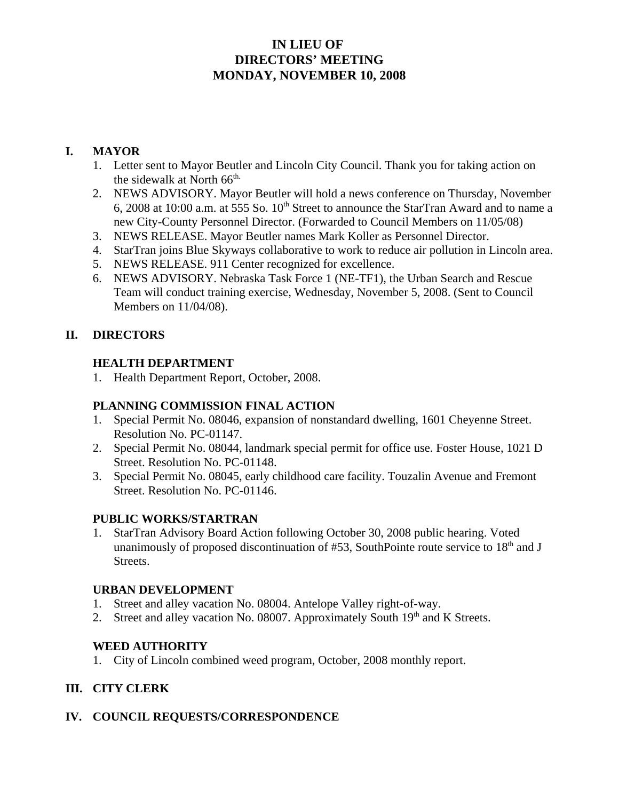# **IN LIEU OF DIRECTORS' MEETING MONDAY, NOVEMBER 10, 2008**

## **I. MAYOR**

- 1. Letter sent to Mayor Beutler and Lincoln City Council. Thank you for taking action on the sidewalk at North  $66<sup>th</sup>$ .
- 2. NEWS ADVISORY. Mayor Beutler will hold a news conference on Thursday, November 6, 2008 at 10:00 a.m. at 555 So.  $10<sup>th</sup>$  Street to announce the StarTran Award and to name a new City-County Personnel Director. (Forwarded to Council Members on 11/05/08)
- 3. NEWS RELEASE. Mayor Beutler names Mark Koller as Personnel Director.
- 4. StarTran joins Blue Skyways collaborative to work to reduce air pollution in Lincoln area.
- 5. NEWS RELEASE. 911 Center recognized for excellence.
- 6. NEWS ADVISORY. Nebraska Task Force 1 (NE-TF1), the Urban Search and Rescue Team will conduct training exercise, Wednesday, November 5, 2008. (Sent to Council Members on 11/04/08).

## **II. DIRECTORS**

#### **HEALTH DEPARTMENT**

1. Health Department Report, October, 2008.

### **PLANNING COMMISSION FINAL ACTION**

- 1. Special Permit No. 08046, expansion of nonstandard dwelling, 1601 Cheyenne Street. Resolution No. PC-01147.
- 2. Special Permit No. 08044, landmark special permit for office use. Foster House, 1021 D Street. Resolution No. PC-01148.
- 3. Special Permit No. 08045, early childhood care facility. Touzalin Avenue and Fremont Street. Resolution No. PC-01146.

## **PUBLIC WORKS/STARTRAN**

1. StarTran Advisory Board Action following October 30, 2008 public hearing. Voted unanimously of proposed discontinuation of  $#53$ , SouthPointe route service to  $18<sup>th</sup>$  and J Streets.

#### **URBAN DEVELOPMENT**

- 1. Street and alley vacation No. 08004. Antelope Valley right-of-way.
- 2. Street and alley vacation No. 08007. Approximately South  $19<sup>th</sup>$  and K Streets.

## **WEED AUTHORITY**

1. City of Lincoln combined weed program, October, 2008 monthly report.

## **III. CITY CLERK**

## **IV. COUNCIL REQUESTS/CORRESPONDENCE**